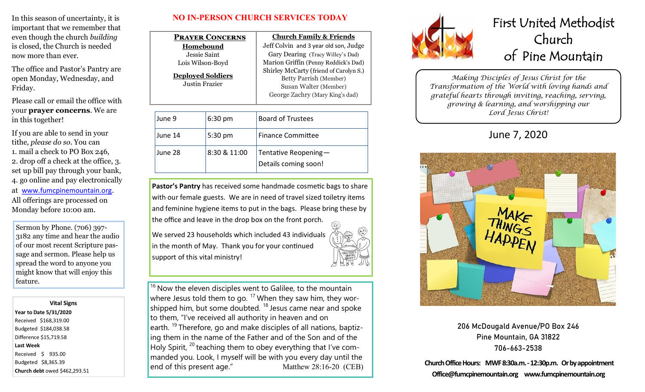In this season of uncertainty, it is important that we remember that even though the church *building* is closed, the Church is needed now more than ever.

The office and Pastor's Pantry are open Monday, Wednesday, and Friday.

Please call or email the office with your **prayer concerns**. We are in this together!

If you are able to send in your tithe*, please do so*. You can 1. mail a check to PO Box 246, 2. drop off a check at the office, 3. set up bill pay through your bank, 4. go online and pay electronically at [www.fumcpinemountain.org](http://www.fumcpinemountain.org). All offerings are processed on Monday before 10:00 am.

Sermon by Phone. (706) 397- 3182 any time and hear the audio of our most recent Scripture passage and sermon. Please help us spread the word to anyone you might know that will enjoy this feature.

#### **Vital Signs Year to Date 5/31/2020**  Received \$168,319.00

Budgeted \$184,038.58 Difference \$15,719.58 **Last Week**  Received \$ 935.00 Budgeted \$8,365.39 **Church debt** owed \$462,293.51

### **NO IN-PERSON CHURCH SERVICES TODAY**

|                                            | <b>PRAYER CONCERNS</b> | <b>Church Family &amp; Friends</b>                                                                                                  |
|--------------------------------------------|------------------------|-------------------------------------------------------------------------------------------------------------------------------------|
| Homebound                                  |                        | Jeff Colvin and 3 year old son, Judge                                                                                               |
| Jessie Saint                               |                        | Gary Dearing (Tracy Willey's Dad)                                                                                                   |
| Lois Wilson-Boyd                           |                        | Marion Griffin (Penny Reddick's Dad)                                                                                                |
| <b>Deployed Soldiers</b><br>Justin Frazier |                        | Shirley McCarty (friend of Carolyn S.)<br><b>Betty Parrish (Member)</b><br>Susan Walter (Member)<br>George Zachry (Mary King's dad) |
|                                            |                        |                                                                                                                                     |
| June 9                                     | 6:30 pm                | <b>Board of Trustees</b>                                                                                                            |
| June 14                                    | 5:30 pm                | <b>Finance Committee</b>                                                                                                            |
| June 28                                    | 8:30 & 11:00           | Tentative Reopening-<br>Details coming soon!                                                                                        |

**Pastor's Pantry** has received some handmade cosmetic bags to share with our female guests. We are in need of travel sized toiletry items and feminine hygiene items to put in the bags. Please bring these by the office and leave in the drop box on the front porch.

We served 23 households which included 43 individuals in the month of May. Thank you for your continued support of this vital ministry!



 $16$  Now the eleven disciples went to Galilee, to the mountain where Jesus told them to go.  $17$  When they saw him, they worshipped him, but some doubted. <sup>18</sup> Jesus came near and spoke to them, "I've received all authority in heaven and on earth. <sup>19</sup> Therefore, go and make disciples of all nations, baptizing them in the name of the Father and of the Son and of the Holy Spirit,  $^{20}$  teaching them to obey everything that I've commanded you. Look, I myself will be with you every day until the end of this present age." Matthew 28:16-20 (CEB)



# First United Methodist Church of Pine Mountain

*Making Disciples of Jesus Christ for the Transformation of the World with loving hands and grateful hearts through inviting, reaching, serving, growing & learning, and worshipping our Lord Jesus Christ!* 

June 7, 2020



206 McDougald Avenue/PO Box 246 Pine Mountain, GA 31822 706-663-2538

**Church Office Hours: MWF 8:30a.m. -12:30p.m. Or by appointment Office@fumcpinemountain.org www.fumcpinemountain.org**